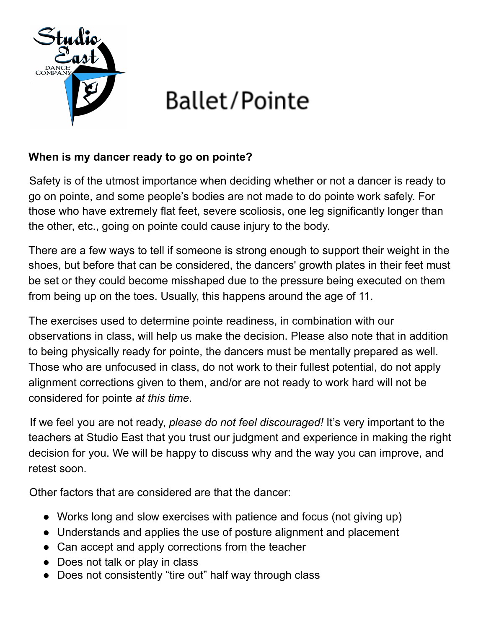

# Ballet/Pointe

## **When is my dancer ready to go on pointe?**

Safety is of the utmost importance when deciding whether or not a dancer is ready to go on pointe, and some people's bodies are not made to do pointe work safely. For those who have extremely flat feet, severe scoliosis, one leg significantly longer than the other, etc., going on pointe could cause injury to the body.

There are a few ways to tell if someone is strong enough to support their weight in the shoes, but before that can be considered, the dancers' growth plates in their feet must be set or they could become misshaped due to the pressure being executed on them from being up on the toes. Usually, this happens around the age of 11.

The exercises used to determine pointe readiness, in combination with our observations in class, will help us make the decision. Please also note that in addition to being physically ready for pointe, the dancers must be mentally prepared as well. Those who are unfocused in class, do not work to their fullest potential, do not apply alignment corrections given to them, and/or are not ready to work hard will not be considered for pointe *at this time*.

If we feel you are not ready, *please do not feel discouraged!* It's very important to the teachers at Studio East that you trust our judgment and experience in making the right decision for you. We will be happy to discuss why and the way you can improve, and retest soon.

Other factors that are considered are that the dancer:

- Works long and slow exercises with patience and focus (not giving up)
- Understands and applies the use of posture alignment and placement
- Can accept and apply corrections from the teacher
- Does not talk or play in class
- Does not consistently "tire out" half way through class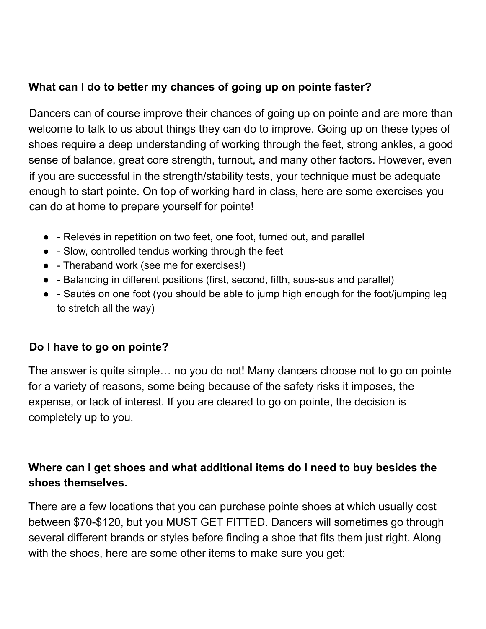## **What can I do to better my chances of going up on pointe faster?**

Dancers can of course improve their chances of going up on pointe and are more than welcome to talk to us about things they can do to improve. Going up on these types of shoes require a deep understanding of working through the feet, strong ankles, a good sense of balance, great core strength, turnout, and many other factors. However, even if you are successful in the strength/stability tests, your technique must be adequate enough to start pointe. On top of working hard in class, here are some exercises you can do at home to prepare yourself for pointe!

- - Relevés in repetition on two feet, one foot, turned out, and parallel
- - Slow, controlled tendus working through the feet
- - Theraband work (see me for exercises!)
- - Balancing in different positions (first, second, fifth, sous-sus and parallel)
- - Sautés on one foot (you should be able to jump high enough for the foot/jumping leg to stretch all the way)

## **Do I have to go on pointe?**

The answer is quite simple… no you do not! Many dancers choose not to go on pointe for a variety of reasons, some being because of the safety risks it imposes, the expense, or lack of interest. If you are cleared to go on pointe, the decision is completely up to you.

## **Where can I get shoes and what additional items do I need to buy besides the shoes themselves.**

There are a few locations that you can purchase pointe shoes at which usually cost between \$70-\$120, but you MUST GET FITTED. Dancers will sometimes go through several different brands or styles before finding a shoe that fits them just right. Along with the shoes, here are some other items to make sure you get: